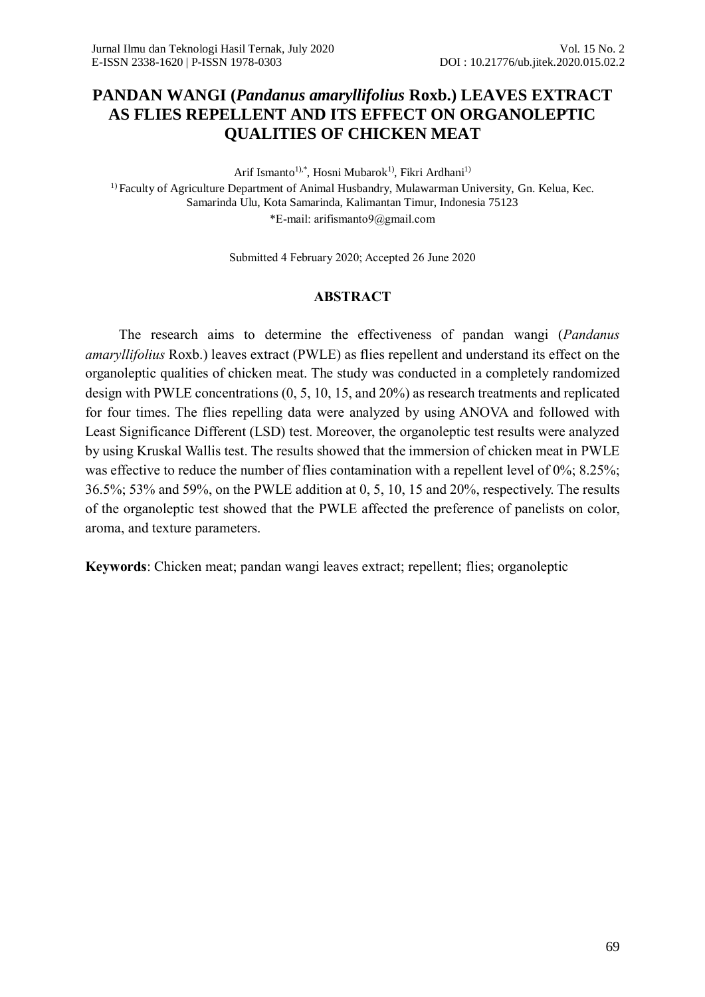# **PANDAN WANGI (***Pandanus amaryllifolius* **Roxb.) LEAVES EXTRACT AS FLIES REPELLENT AND ITS EFFECT ON ORGANOLEPTIC QUALITIES OF CHICKEN MEAT**

Arif Ismanto<sup>1),\*</sup>, Hosni Mubarok<sup>1)</sup>, Fikri Ardhani<sup>1)</sup>

<sup>1)</sup> Faculty of Agriculture Department of Animal Husbandry, Mulawarman University, Gn. Kelua, Kec. Samarinda Ulu, Kota Samarinda, Kalimantan Timur, Indonesia 75123 \*E-mail: arifismanto9@gmail.com

Submitted 4 February 2020; Accepted 26 June 2020

### **ABSTRACT**

The research aims to determine the effectiveness of pandan wangi (*Pandanus amaryllifolius* Roxb.) leaves extract (PWLE) as flies repellent and understand its effect on the organoleptic qualities of chicken meat. The study was conducted in a completely randomized design with PWLE concentrations (0, 5, 10, 15, and 20%) as research treatments and replicated for four times. The flies repelling data were analyzed by using ANOVA and followed with Least Significance Different (LSD) test. Moreover, the organoleptic test results were analyzed by using Kruskal Wallis test. The results showed that the immersion of chicken meat in PWLE was effective to reduce the number of flies contamination with a repellent level of 0%; 8.25%; 36.5%; 53% and 59%, on the PWLE addition at 0, 5, 10, 15 and 20%, respectively. The results of the organoleptic test showed that the PWLE affected the preference of panelists on color, aroma, and texture parameters.

**Keywords**: Chicken meat; pandan wangi leaves extract; repellent; flies; organoleptic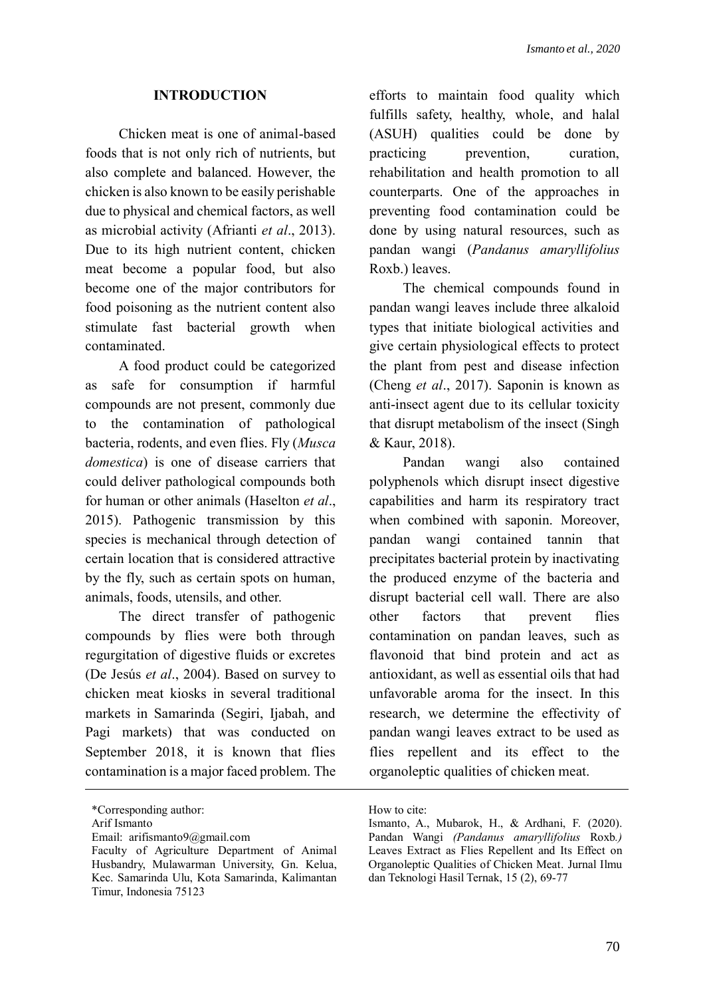### **INTRODUCTION**

Chicken meat is one of animal-based foods that is not only rich of nutrients, but also complete and balanced. However, the chicken is also known to be easily perishable due to physical and chemical factors, as well as microbial activity (Afrianti *et al*., 2013). Due to its high nutrient content, chicken meat become a popular food, but also become one of the major contributors for food poisoning as the nutrient content also stimulate fast bacterial growth when contaminated.

A food product could be categorized as safe for consumption if harmful compounds are not present, commonly due to the contamination of pathological bacteria, rodents, and even flies. Fly (*Musca domestica*) is one of disease carriers that could deliver pathological compounds both for human or other animals (Haselton *et al*., 2015). Pathogenic transmission by this species is mechanical through detection of certain location that is considered attractive by the fly, such as certain spots on human, animals, foods, utensils, and other.

The direct transfer of pathogenic compounds by flies were both through regurgitation of digestive fluids or excretes (De Jesús *et al*., 2004). Based on survey to chicken meat kiosks in several traditional markets in Samarinda (Segiri, Ijabah, and Pagi markets) that was conducted on September 2018, it is known that flies contamination is a major faced problem. The efforts to maintain food quality which fulfills safety, healthy, whole, and halal (ASUH) qualities could be done by practicing prevention, curation, rehabilitation and health promotion to all counterparts. One of the approaches in preventing food contamination could be done by using natural resources, such as pandan wangi (*Pandanus amaryllifolius* Roxb.) leaves.

The chemical compounds found in pandan wangi leaves include three alkaloid types that initiate biological activities and give certain physiological effects to protect the plant from pest and disease infection (Cheng *et al*., 2017). Saponin is known as anti-insect agent due to its cellular toxicity that disrupt metabolism of the insect (Singh & Kaur, 2018).

Pandan wangi also contained polyphenols which disrupt insect digestive capabilities and harm its respiratory tract when combined with saponin. Moreover, pandan wangi contained tannin that precipitates bacterial protein by inactivating the produced enzyme of the bacteria and disrupt bacterial cell wall. There are also other factors that prevent flies contamination on pandan leaves, such as flavonoid that bind protein and act as antioxidant, as well as essential oils that had unfavorable aroma for the insect. In this research, we determine the effectivity of pandan wangi leaves extract to be used as flies repellent and its effect to the organoleptic qualities of chicken meat.

<sup>\*</sup>Corresponding author:

Arif Ismanto

Email: arifismanto9@gmail.com

Faculty of Agriculture Department of Animal Husbandry, Mulawarman University, Gn. Kelua, Kec. Samarinda Ulu, Kota Samarinda, Kalimantan Timur, Indonesia 75123

How to cite:

Ismanto, A., Mubarok, H., & Ardhani, F. (2020). Pandan Wangi *(Pandanus amaryllifolius* Roxb*.)* Leaves Extract as Flies Repellent and Its Effect on Organoleptic Qualities of Chicken Meat. Jurnal Ilmu dan Teknologi Hasil Ternak, 15 (2), 69-77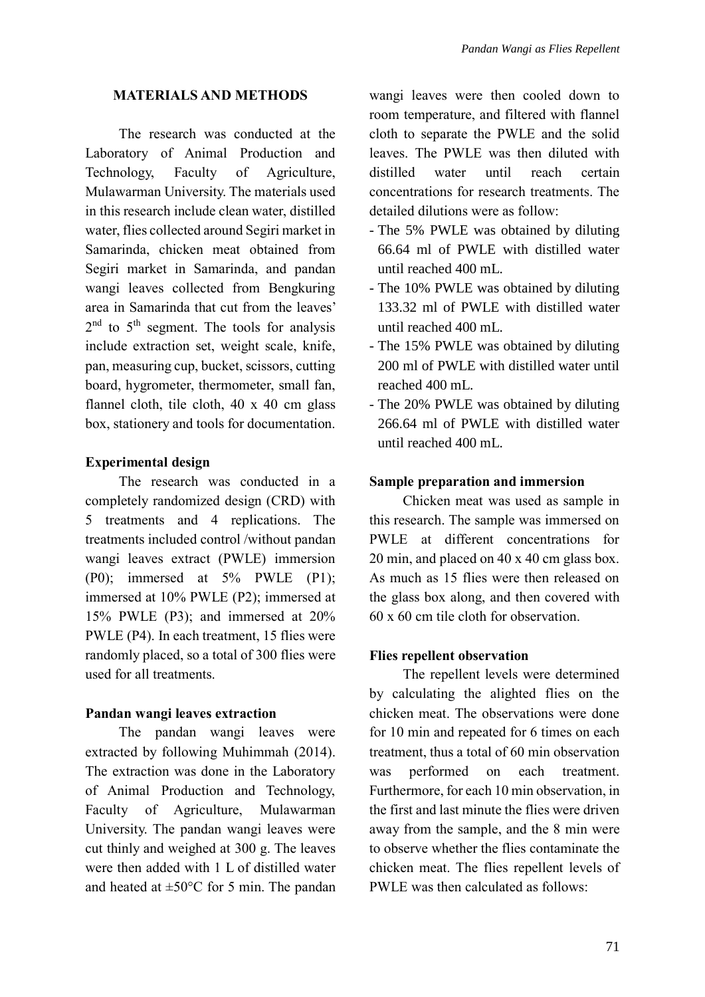### **MATERIALS AND METHODS**

The research was conducted at the Laboratory of Animal Production and Technology, Faculty of Agriculture, Mulawarman University. The materials used in this research include clean water, distilled water, flies collected around Segiri market in Samarinda, chicken meat obtained from Segiri market in Samarinda, and pandan wangi leaves collected from Bengkuring area in Samarinda that cut from the leaves' 2<sup>nd</sup> to 5<sup>th</sup> segment. The tools for analysis include extraction set, weight scale, knife, pan, measuring cup, bucket, scissors, cutting board, hygrometer, thermometer, small fan, flannel cloth, tile cloth, 40 x 40 cm glass box, stationery and tools for documentation.

### **Experimental design**

The research was conducted in a completely randomized design (CRD) with 5 treatments and 4 replications. The treatments included control /without pandan wangi leaves extract (PWLE) immersion (P0); immersed at 5% PWLE (P1); immersed at 10% PWLE (P2); immersed at 15% PWLE (P3); and immersed at 20% PWLE (P4). In each treatment, 15 flies were randomly placed, so a total of 300 flies were used for all treatments.

### **Pandan wangi leaves extraction**

The pandan wangi leaves were extracted by following Muhimmah (2014). The extraction was done in the Laboratory of Animal Production and Technology, Faculty of Agriculture, Mulawarman University. The pandan wangi leaves were cut thinly and weighed at 300 g. The leaves were then added with 1 L of distilled water and heated at  $\pm 50^{\circ}$ C for 5 min. The pandan wangi leaves were then cooled down to room temperature, and filtered with flannel cloth to separate the PWLE and the solid leaves. The PWLE was then diluted with distilled water until reach certain concentrations for research treatments. The detailed dilutions were as follow:

- The 5% PWLE was obtained by diluting 66.64 ml of PWLE with distilled water until reached 400 mL.
- The 10% PWLE was obtained by diluting 133.32 ml of PWLE with distilled water until reached 400 mL.
- The 15% PWLE was obtained by diluting 200 ml of PWLE with distilled water until reached 400 mL.
- The 20% PWLE was obtained by diluting 266.64 ml of PWLE with distilled water until reached 400 mL.

### **Sample preparation and immersion**

Chicken meat was used as sample in this research. The sample was immersed on PWLE at different concentrations for 20 min, and placed on 40 x 40 cm glass box. As much as 15 flies were then released on the glass box along, and then covered with 60 x 60 cm tile cloth for observation.

### **Flies repellent observation**

The repellent levels were determined by calculating the alighted flies on the chicken meat. The observations were done for 10 min and repeated for 6 times on each treatment, thus a total of 60 min observation was performed on each treatment. Furthermore, for each 10 min observation, in the first and last minute the flies were driven away from the sample, and the 8 min were to observe whether the flies contaminate the chicken meat. The flies repellent levels of PWLE was then calculated as follows: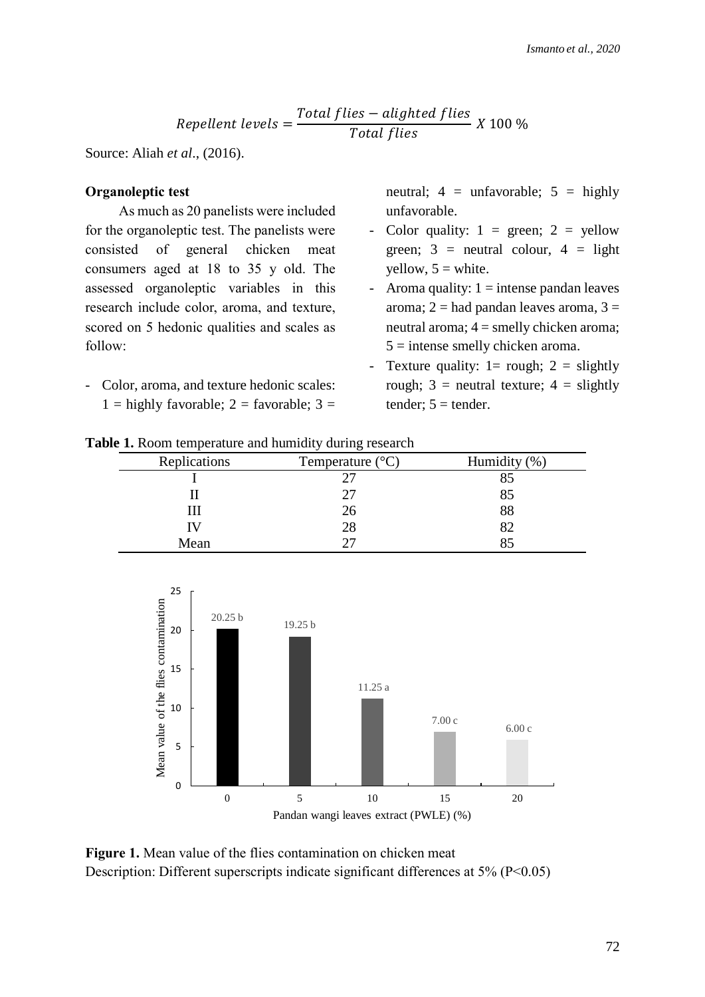$$
Repellent levels = \frac{Total files - aligned files}{Total files} \times 100\%
$$

Source: Aliah *et al*., (2016).

### **Organoleptic test**

As much as 20 panelists were included for the organoleptic test. The panelists were consisted of general chicken meat consumers aged at 18 to 35 y old. The assessed organoleptic variables in this research include color, aroma, and texture, scored on 5 hedonic qualities and scales as follow:

- Color, aroma, and texture hedonic scales:  $1 =$ highly favorable;  $2 =$  favorable;  $3 =$ 

neutral;  $4 = \text{unfavorable}; 5 = \text{highly}$ unfavorable.

- Color quality:  $1 = \text{green}$ ;  $2 = \text{yellow}$ green;  $3$  = neutral colour,  $4$  = light yellow,  $5 =$  white.
- Aroma quality:  $1 =$  intense pandan leaves aroma;  $2 =$  had pandan leaves aroma,  $3 =$ neutral aroma; 4 = smelly chicken aroma;  $5 =$  intense smelly chicken aroma.
- Texture quality:  $1=$  rough;  $2 =$  slightly rough;  $3$  = neutral texture;  $4$  = slightly tender;  $5 = \text{tender}$ .

|  | Table 1. Room temperature and humidity during research |  |  |  |
|--|--------------------------------------------------------|--|--|--|
|--|--------------------------------------------------------|--|--|--|

| Replications | Temperature $(^{\circ}C)$ | Humidity (%) |  |
|--------------|---------------------------|--------------|--|
|              |                           |              |  |
|              | 77                        |              |  |
|              | 26                        | 88           |  |
|              | 28                        |              |  |
| Mean         |                           |              |  |



**Figure 1.** Mean value of the flies contamination on chicken meat Description: Different superscripts indicate significant differences at 5% (P<0.05)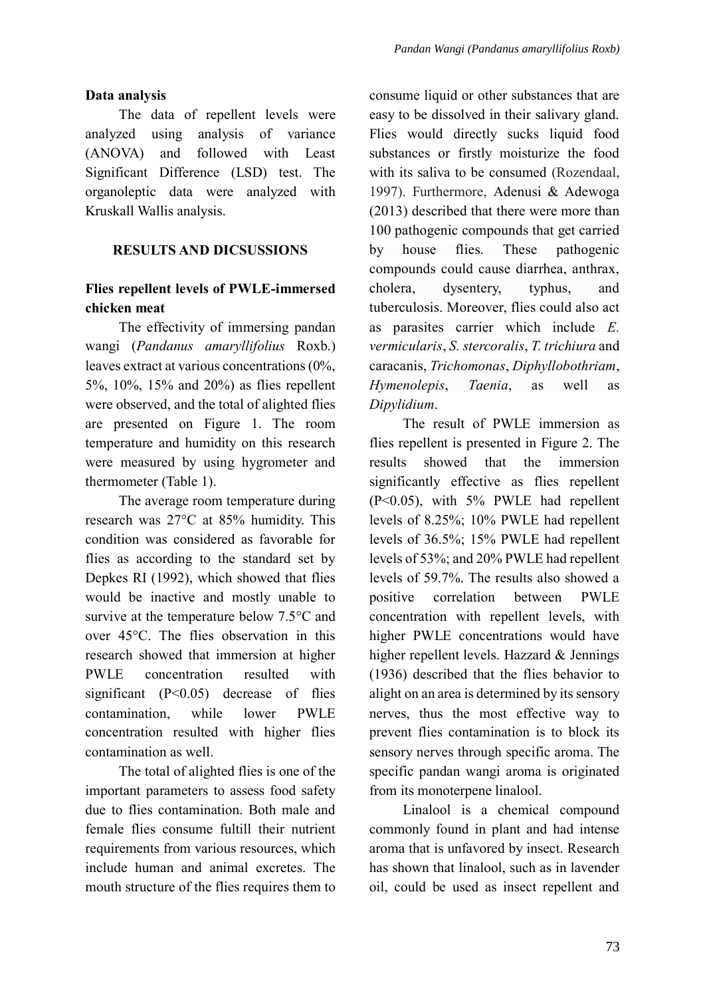## **Data analysis**

The data of repellent levels were analyzed using analysis of variance (ANOVA) and followed with Least Significant Difference (LSD) test. The organoleptic data were analyzed with Kruskall Wallis analysis.

# **RESULTS AND DICSUSSIONS**

# **Flies repellent levels of PWLE-immersed chicken meat**

The effectivity of immersing pandan wangi (*Pandanus amaryllifolius* Roxb.) leaves extract at various concentrations (0%, 5%, 10%, 15% and 20%) as flies repellent were observed, and the total of alighted flies are presented on Figure 1. The room temperature and humidity on this research were measured by using hygrometer and thermometer (Table 1).

The average room temperature during research was 27°C at 85% humidity. This condition was considered as favorable for flies as according to the standard set by Depkes RI (1992), which showed that flies would be inactive and mostly unable to survive at the temperature below 7.5°C and over 45°C. The flies observation in this research showed that immersion at higher PWLE concentration resulted with significant  $(P<0.05)$  decrease of flies contamination, while lower PWLE concentration resulted with higher flies contamination as well.

The total of alighted flies is one of the important parameters to assess food safety due to flies contamination. Both male and female flies consume fultill their nutrient requirements from various resources, which include human and animal excretes. The mouth structure of the flies requires them to consume liquid or other substances that are easy to be dissolved in their salivary gland. Flies would directly sucks liquid food substances or firstly moisturize the food with its saliva to be consumed (Rozendaal, 1997). Furthermore, Adenusi & Adewoga (2013) described that there were more than 100 pathogenic compounds that get carried by house flies. These pathogenic compounds could cause diarrhea, anthrax, cholera, dysentery, typhus, and tuberculosis. Moreover, flies could also act as parasites carrier which include *E. vermicularis*, *S. stercoralis*, *T. trichiura* and caracanis, *Trichomonas*, *Diphyllobothriam*, *Hymenolepis*, *Taenia*, as well as *Dipylidium*.

The result of PWLE immersion as flies repellent is presented in Figure 2. The results showed that the immersion significantly effective as flies repellent (P<0.05), with 5% PWLE had repellent levels of 8.25%; 10% PWLE had repellent levels of 36.5%; 15% PWLE had repellent levels of 53%; and 20% PWLE had repellent levels of 59.7%. The results also showed a positive correlation between PWLE concentration with repellent levels, with higher PWLE concentrations would have higher repellent levels. Hazzard & Jennings (1936) described that the flies behavior to alight on an area is determined by its sensory nerves, thus the most effective way to prevent flies contamination is to block its sensory nerves through specific aroma. The specific pandan wangi aroma is originated from its monoterpene linalool.

Linalool is a chemical compound commonly found in plant and had intense aroma that is unfavored by insect. Research has shown that linalool, such as in lavender oil, could be used as insect repellent and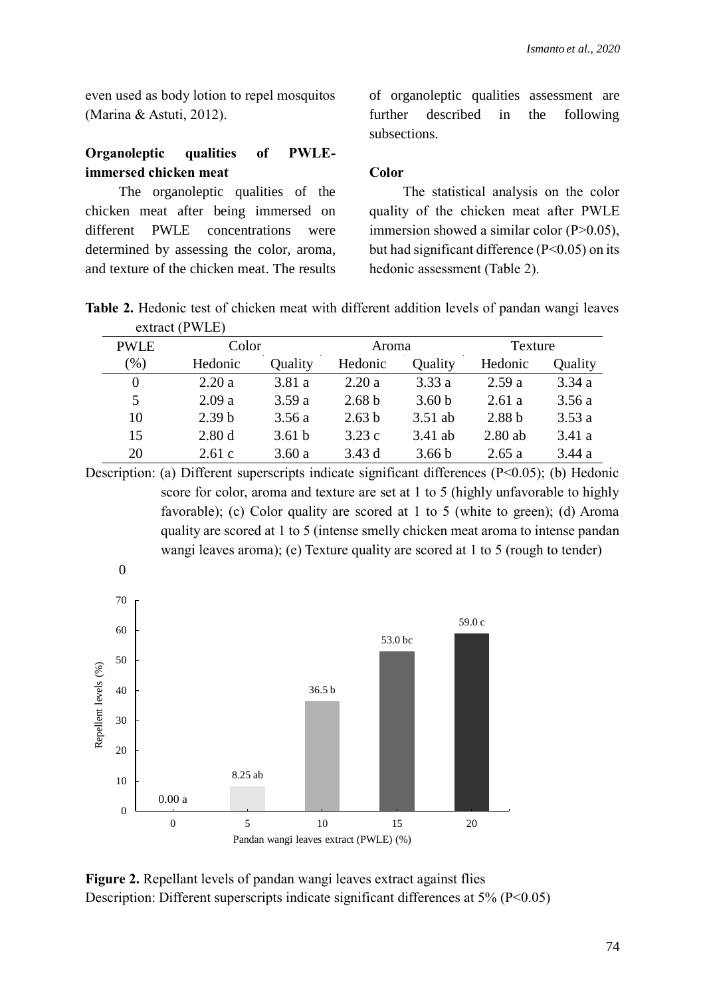even used as body lotion to repel mosquitos (Marina & Astuti, 2012).

# **Organoleptic qualities of PWLEimmersed chicken meat**

The organoleptic qualities of the chicken meat after being immersed on different PWLE concentrations were determined by assessing the color, aroma, and texture of the chicken meat. The results of organoleptic qualities assessment are further described in the following subsections.

### **Color**

The statistical analysis on the color quality of the chicken meat after PWLE immersion showed a similar color (P>0.05), but had significant difference  $(P<0.05)$  on its hedonic assessment (Table 2).

**Table 2.** Hedonic test of chicken meat with different addition levels of pandan wangi leaves extract (PWLE)

| <b>PWLE</b> | Color             |                   | Aroma             |                   | Texture           |         |  |
|-------------|-------------------|-------------------|-------------------|-------------------|-------------------|---------|--|
| $(\%)$      | Hedonic           | Quality           | Hedonic           | Quality           | Hedonic           | Quality |  |
| $\theta$    | 2.20a             | 3.81a             | 2.20a             | 3.33a             | 2.59a             | 3.34a   |  |
| 5           | 2.09a             | 3.59a             | 2.68 <sub>b</sub> | 3.60 <sub>b</sub> | 2.61 a            | 3.56a   |  |
| 10          | 2.39 <sub>b</sub> | 3.56 a            | 2.63 <sub>b</sub> | $3.51$ ab         | 2.88 <sub>b</sub> | 3.53a   |  |
| 15          | 2.80d             | 3.61 <sub>b</sub> | 3.23c             | 3.41 ab           | $2.80$ ab         | 3.41a   |  |
| 20          | 2.61c             | 3.60a             | 3.43d             | 3.66 <sub>b</sub> | 2.65a             | 3.44a   |  |
|             |                   |                   |                   |                   |                   |         |  |

Description: (a) Different superscripts indicate significant differences (P<0.05); (b) Hedonic score for color, aroma and texture are set at 1 to 5 (highly unfavorable to highly favorable); (c) Color quality are scored at 1 to 5 (white to green); (d) Aroma quality are scored at 1 to 5 (intense smelly chicken meat aroma to intense pandan wangi leaves aroma); (e) Texture quality are scored at 1 to 5 (rough to tender)



**Figure 2.** Repellant levels of pandan wangi leaves extract against flies Description: Different superscripts indicate significant differences at 5% (P<0.05)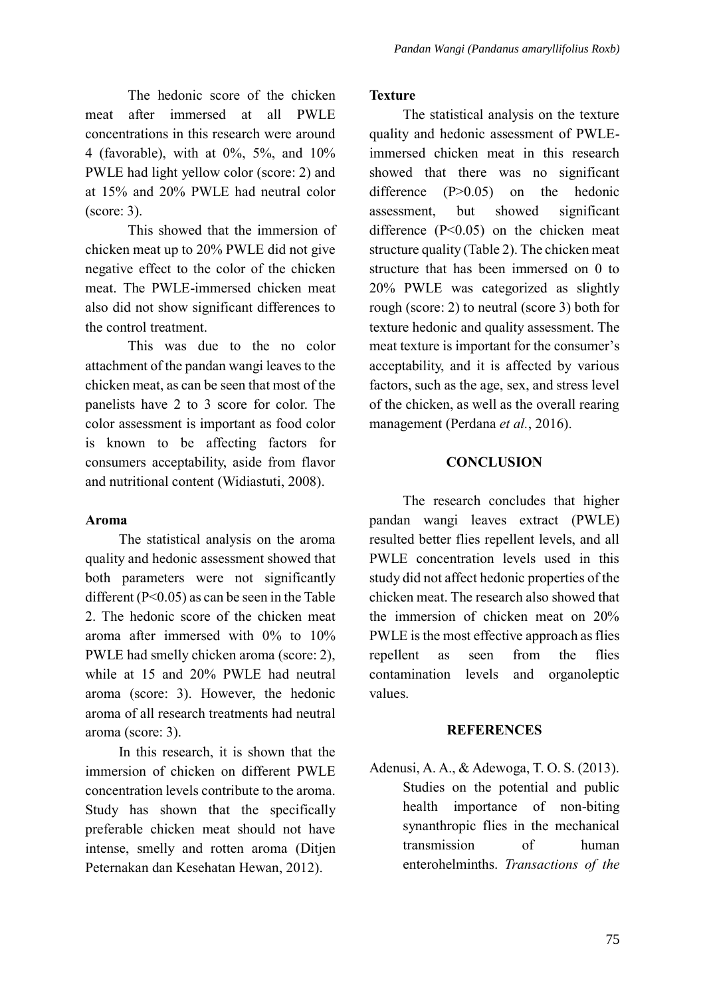The hedonic score of the chicken meat after immersed at all PWLE concentrations in this research were around 4 (favorable), with at 0%, 5%, and 10% PWLE had light yellow color (score: 2) and at 15% and 20% PWLE had neutral color (score: 3).

This showed that the immersion of chicken meat up to 20% PWLE did not give negative effect to the color of the chicken meat. The PWLE-immersed chicken meat also did not show significant differences to the control treatment.

This was due to the no color attachment of the pandan wangi leaves to the chicken meat, as can be seen that most of the panelists have 2 to 3 score for color. The color assessment is important as food color is known to be affecting factors for consumers acceptability, aside from flavor and nutritional content (Widiastuti, 2008).

## **Aroma**

The statistical analysis on the aroma quality and hedonic assessment showed that both parameters were not significantly different  $(P<0.05)$  as can be seen in the Table 2. The hedonic score of the chicken meat aroma after immersed with 0% to 10% PWLE had smelly chicken aroma (score: 2), while at 15 and 20% PWLE had neutral aroma (score: 3). However, the hedonic aroma of all research treatments had neutral aroma (score: 3).

In this research, it is shown that the immersion of chicken on different PWLE concentration levels contribute to the aroma. Study has shown that the specifically preferable chicken meat should not have intense, smelly and rotten aroma (Ditjen Peternakan dan Kesehatan Hewan, 2012).

### **Texture**

The statistical analysis on the texture quality and hedonic assessment of PWLEimmersed chicken meat in this research showed that there was no significant difference (P>0.05) on the hedonic assessment, but showed significant difference (P<0.05) on the chicken meat structure quality (Table 2). The chicken meat structure that has been immersed on 0 to 20% PWLE was categorized as slightly rough (score: 2) to neutral (score 3) both for texture hedonic and quality assessment. The meat texture is important for the consumer's acceptability, and it is affected by various factors, such as the age, sex, and stress level of the chicken, as well as the overall rearing management (Perdana *et al.*, 2016).

## **CONCLUSION**

The research concludes that higher pandan wangi leaves extract (PWLE) resulted better flies repellent levels, and all PWLE concentration levels used in this study did not affect hedonic properties of the chicken meat. The research also showed that the immersion of chicken meat on 20% PWLE is the most effective approach as flies repellent as seen from the flies contamination levels and organoleptic values.

### **REFERENCES**

Adenusi, A. A., & Adewoga, T. O. S. (2013). Studies on the potential and public health importance of non-biting synanthropic flies in the mechanical transmission of human enterohelminths. *Transactions of the*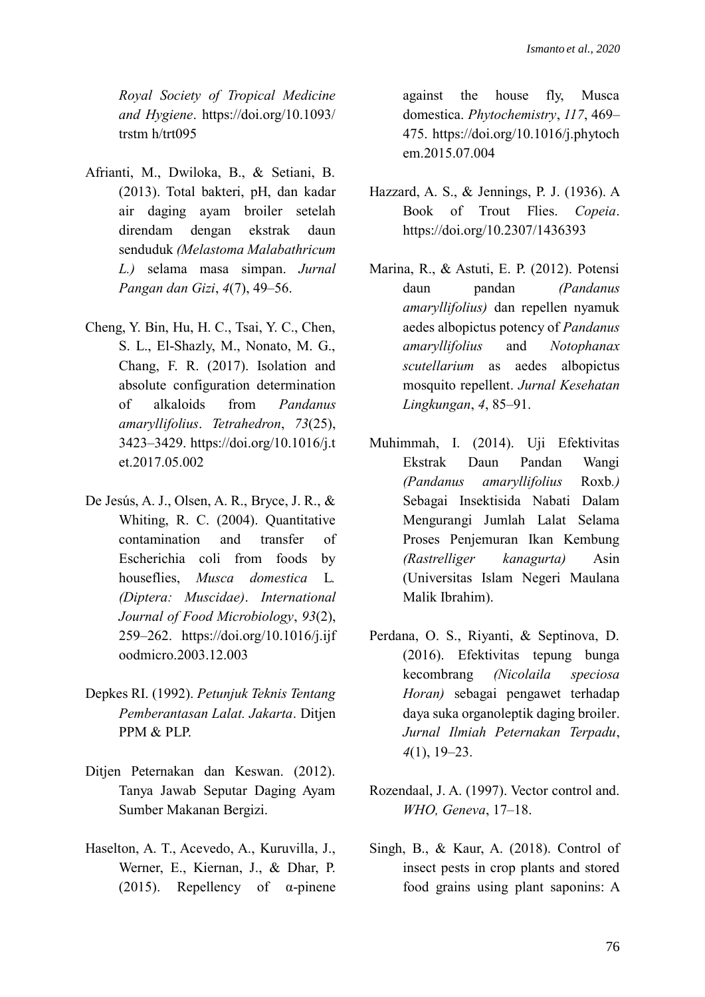*Royal Society of Tropical Medicine and Hygiene*. https://doi.org/10.1093/ trstm h/trt095

- Afrianti, M., Dwiloka, B., & Setiani, B. (2013). Total bakteri, pH, dan kadar air daging ayam broiler setelah direndam dengan ekstrak daun senduduk *(Melastoma Malabathricum L.)* selama masa simpan. *Jurnal Pangan dan Gizi*, *4*(7), 49–56.
- Cheng, Y. Bin, Hu, H. C., Tsai, Y. C., Chen, S. L., El-Shazly, M., Nonato, M. G., Chang, F. R. (2017). Isolation and absolute configuration determination of alkaloids from *Pandanus amaryllifolius*. *Tetrahedron*, *73*(25), 3423–3429. https://doi.org/10.1016/j.t et.2017.05.002
- De Jesús, A. J., Olsen, A. R., Bryce, J. R., & Whiting, R. C. (2004). Quantitative contamination and transfer of Escherichia coli from foods by houseflies, *Musca domestica* L*. (Diptera: Muscidae)*. *International Journal of Food Microbiology*, *93*(2), 259–262. https://doi.org/10.1016/j.ijf oodmicro.2003.12.003
- Depkes RI. (1992). *Petunjuk Teknis Tentang Pemberantasan Lalat. Jakarta*. Ditjen PPM & PLP.
- Ditjen Peternakan dan Keswan. (2012). Tanya Jawab Seputar Daging Ayam Sumber Makanan Bergizi.
- Haselton, A. T., Acevedo, A., Kuruvilla, J., Werner, E., Kiernan, J., & Dhar, P. (2015). Repellency of  $\alpha$ -pinene

against the house fly, Musca domestica. *Phytochemistry*, *117*, 469– 475. https://doi.org/10.1016/j.phytoch em.2015.07.004

- Hazzard, A. S., & Jennings, P. J. (1936). A Book of Trout Flies. *Copeia*. https://doi.org/10.2307/1436393
- Marina, R., & Astuti, E. P. (2012). Potensi daun pandan *(Pandanus amaryllifolius)* dan repellen nyamuk aedes albopictus potency of *Pandanus amaryllifolius* and *Notophanax scutellarium* as aedes albopictus mosquito repellent. *Jurnal Kesehatan Lingkungan*, *4*, 85–91.
- Muhimmah, I. (2014). Uji Efektivitas Ekstrak Daun Pandan Wangi *(Pandanus amaryllifolius* Roxb*.)* Sebagai Insektisida Nabati Dalam Mengurangi Jumlah Lalat Selama Proses Penjemuran Ikan Kembung *(Rastrelliger kanagurta)* Asin (Universitas Islam Negeri Maulana Malik Ibrahim).
- Perdana, O. S., Riyanti, & Septinova, D. (2016). Efektivitas tepung bunga kecombrang *(Nicolaila speciosa Horan)* sebagai pengawet terhadap daya suka organoleptik daging broiler. *Jurnal Ilmiah Peternakan Terpadu*, *4*(1), 19–23.
- Rozendaal, J. A. (1997). Vector control and. *WHO, Geneva*, 17–18.
- Singh, B., & Kaur, A. (2018). Control of insect pests in crop plants and stored food grains using plant saponins: A